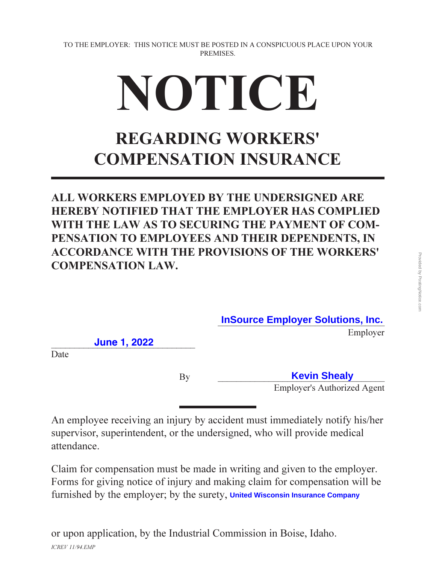## NOTICE

## **REGARDING WORKERS' COMPENSATION INSURANCE**

**ALL WORKERS EMPLOYED BY THE UNDERSIGNED ARE HEREBY NOTIFIED THAT THE EMPLOYER HAS COMPLIED** WITH THE LAW AS TO SECURING THE PAYMENT OF COM-**PENSATION TO EMPLOYEES AND THEIR DEPENDENTS. IN ACCORDANCE WITH THE PROVISIONS OF THE WORKERS' COMPENSATION LAW.** 

**InSource Employer Solutions, Inc.**

Employer

!!!!!!!!!!**June** !!!!!**1**!!**,** !**2022** !!!!!!!!!!!!!

Date

 **Kevin Shealy Employer's Authorized Agent** 

An employee receiving an injury by accident must immediately notify his/her supervisor, superintendent, or the undersigned, who will provide medical attendance.

Claim for compensation must be made in writing and given to the employer. Forms for giving notice of injury and making claim for compensation will be furnished by the employer; by the surety, United Wisconsin Insurance Company